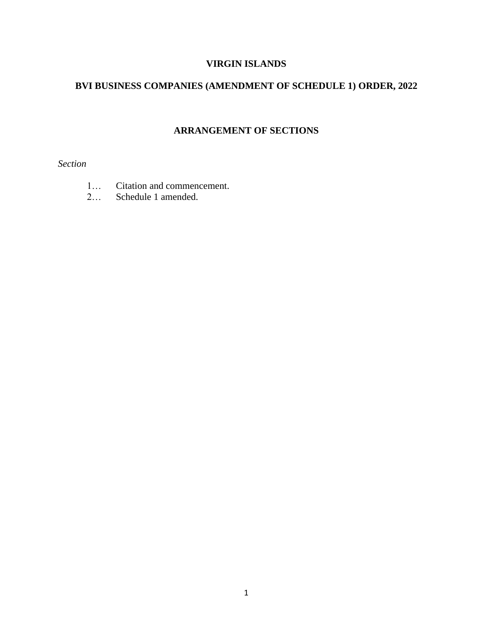# **VIRGIN ISLANDS**

## **BVI BUSINESS COMPANIES (AMENDMENT OF SCHEDULE 1) ORDER, 2022**

# **ARRANGEMENT OF SECTIONS**

*Section* 

- 1… Citation and commencement.
- 2… Schedule 1 amended.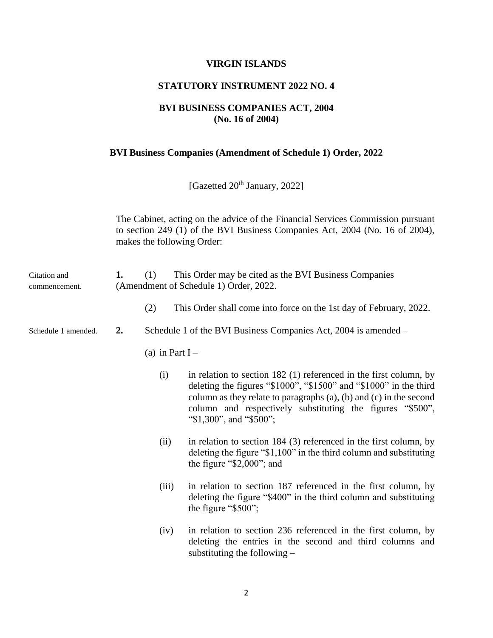#### **VIRGIN ISLANDS**

#### **STATUTORY INSTRUMENT 2022 NO. 4**

### **BVI BUSINESS COMPANIES ACT, 2004 (No. 16 of 2004)**

#### **BVI Business Companies (Amendment of Schedule 1) Order, 2022**

[Gazetted  $20<sup>th</sup>$  January, 2022]

The Cabinet, acting on the advice of the Financial Services Commission pursuant to section 249 (1) of the BVI Business Companies Act, 2004 (No. 16 of 2004), makes the following Order:

| Citation and<br>commencement. | 1. | (1)              | This Order may be cited as the BVI Business Companies<br>(Amendment of Schedule 1) Order, 2022.                                                                                                                                                                                                                 |  |  |
|-------------------------------|----|------------------|-----------------------------------------------------------------------------------------------------------------------------------------------------------------------------------------------------------------------------------------------------------------------------------------------------------------|--|--|
|                               |    | (2)              | This Order shall come into force on the 1st day of February, 2022.                                                                                                                                                                                                                                              |  |  |
| Schedule 1 amended.           | 2. |                  | Schedule 1 of the BVI Business Companies Act, 2004 is amended –                                                                                                                                                                                                                                                 |  |  |
|                               |    | (a) in Part $I-$ |                                                                                                                                                                                                                                                                                                                 |  |  |
|                               |    | (i)              | in relation to section $182$ (1) referenced in the first column, by<br>deleting the figures " $$1000$ ", " $$1500$ " and " $$1000$ " in the third<br>column as they relate to paragraphs (a), (b) and (c) in the second<br>column and respectively substituting the figures "\$500",<br>"\$1,300", and "\$500"; |  |  |
|                               |    | (ii)             | in relation to section 184 (3) referenced in the first column, by<br>deleting the figure " $$1,100"$ in the third column and substituting<br>the figure "\$2,000"; and                                                                                                                                          |  |  |
|                               |    | (iii)            | in relation to section 187 referenced in the first column, by<br>deleting the figure "\$400" in the third column and substituting<br>the figure " $$500$ ";                                                                                                                                                     |  |  |
|                               |    | (iv)             | in relation to section 236 referenced in the first column, by<br>deleting the entries in the second and third columns and<br>substituting the following $-$                                                                                                                                                     |  |  |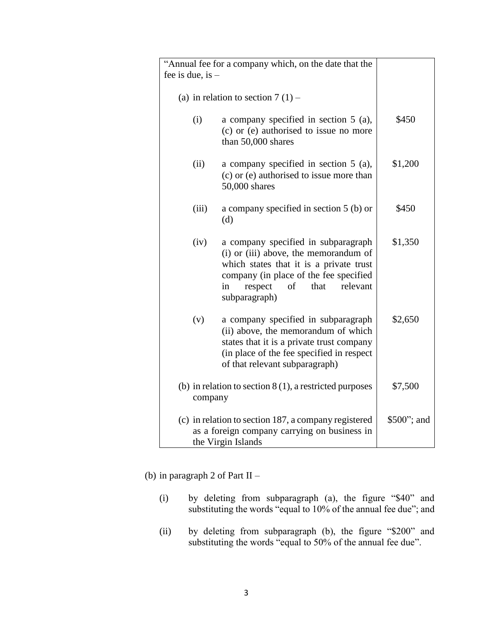| "Annual fee for a company which, on the date that the                                                                      |                                                                                                                                                                                                                               |         |
|----------------------------------------------------------------------------------------------------------------------------|-------------------------------------------------------------------------------------------------------------------------------------------------------------------------------------------------------------------------------|---------|
| fee is due, is $-$                                                                                                         |                                                                                                                                                                                                                               |         |
|                                                                                                                            | (a) in relation to section $7(1)$ –                                                                                                                                                                                           |         |
| (i)                                                                                                                        | a company specified in section $5$ (a),<br>(c) or (e) authorised to issue no more<br>than 50,000 shares                                                                                                                       | \$450   |
| (ii)                                                                                                                       | a company specified in section $5$ (a),<br>(c) or (e) authorised to issue more than<br>50,000 shares                                                                                                                          | \$1,200 |
| (iii)                                                                                                                      | a company specified in section 5 (b) or<br>(d)                                                                                                                                                                                | \$450   |
| (iv)                                                                                                                       | a company specified in subparagraph<br>(i) or (iii) above, the memorandum of<br>which states that it is a private trust<br>company (in place of the fee specified<br>respect<br>that<br>relevant<br>in<br>of<br>subparagraph) | \$1,350 |
| (v)                                                                                                                        | a company specified in subparagraph<br>(ii) above, the memorandum of which<br>states that it is a private trust company<br>(in place of the fee specified in respect)<br>of that relevant subparagraph)                       | \$2,650 |
| (b) in relation to section $8(1)$ , a restricted purposes<br>company                                                       | \$7,500                                                                                                                                                                                                                       |         |
| (c) in relation to section 187, a company registered<br>as a foreign company carrying on business in<br>the Virgin Islands | \$500"; and                                                                                                                                                                                                                   |         |

(b) in paragraph 2 of Part II –

- (i) by deleting from subparagraph (a), the figure "\$40" and substituting the words "equal to 10% of the annual fee due"; and
- (ii) by deleting from subparagraph (b), the figure "\$200" and substituting the words "equal to 50% of the annual fee due".